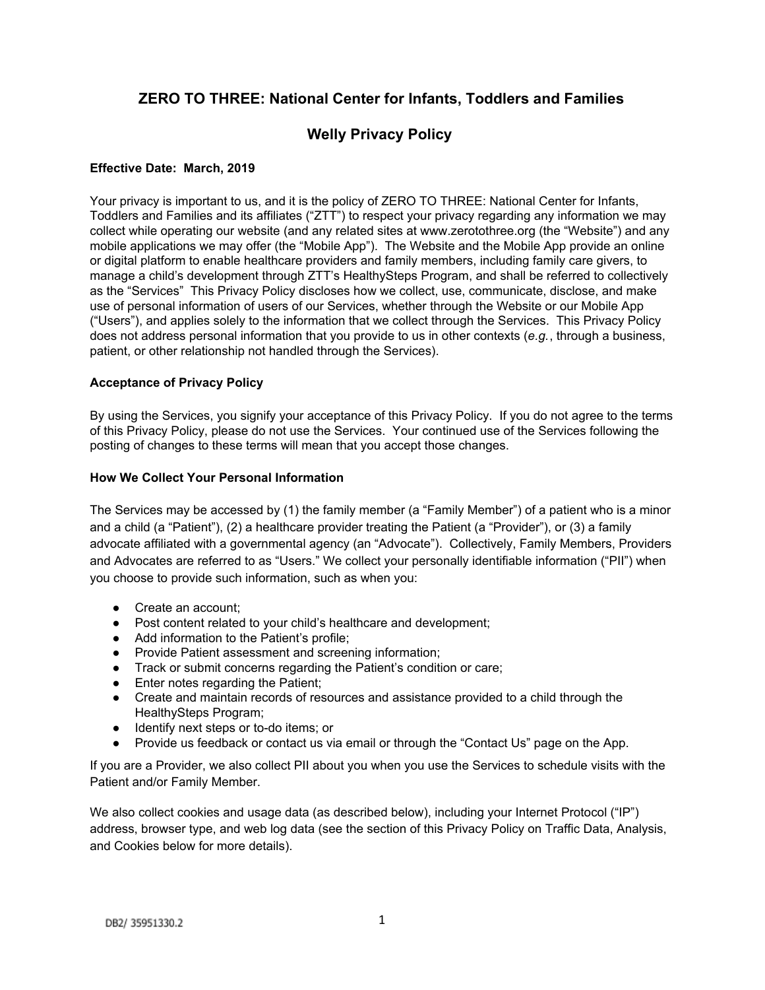# **ZERO TO THREE: National Center for Infants, Toddlers and Families**

# **Welly Privacy Policy**

## **Effective Date: March, 2019**

Your privacy is important to us, and it is the policy of ZERO TO THREE: National Center for Infants, Toddlers and Families and its affiliates ("ZTT") to respect your privacy regarding any information we may collect while operating our website (and any related sites at www.zerotothree.org (the "Website") and any mobile applications we may offer (the "Mobile App"). The Website and the Mobile App provide an online or digital platform to enable healthcare providers and family members, including family care givers, to manage a child's development through ZTT's HealthySteps Program, and shall be referred to collectively as the "Services" This Privacy Policy discloses how we collect, use, communicate, disclose, and make use of personal information of users of our Services, whether through the Website or our Mobile App ("Users"), and applies solely to the information that we collect through the Services. This Privacy Policy does not address personal information that you provide to us in other contexts (*e.g.*, through a business, patient, or other relationship not handled through the Services).

## **Acceptance of Privacy Policy**

By using the Services, you signify your acceptance of this Privacy Policy. If you do not agree to the terms of this Privacy Policy, please do not use the Services. Your continued use of the Services following the posting of changes to these terms will mean that you accept those changes.

## **How We Collect Your Personal Information**

The Services may be accessed by (1) the family member (a "Family Member") of a patient who is a minor and a child (a "Patient"), (2) a healthcare provider treating the Patient (a "Provider"), or (3) a family advocate affiliated with a governmental agency (an "Advocate"). Collectively, Family Members, Providers and Advocates are referred to as "Users." We collect your personally identifiable information ("PII") when you choose to provide such information, such as when you:

- Create an account:
- Post content related to your child's healthcare and development;
- Add information to the Patient's profile;
- Provide Patient assessment and screening information;
- Track or submit concerns regarding the Patient's condition or care;
- Enter notes regarding the Patient:
- Create and maintain records of resources and assistance provided to a child through the HealthySteps Program;
- Identify next steps or to-do items; or
- Provide us feedback or contact us via email or through the "Contact Us" page on the App.

If you are a Provider, we also collect PII about you when you use the Services to schedule visits with the Patient and/or Family Member.

We also collect cookies and usage data (as described below), including your Internet Protocol ("IP") address, browser type, and web log data (see the section of this Privacy Policy on Traffic Data, Analysis, and Cookies below for more details).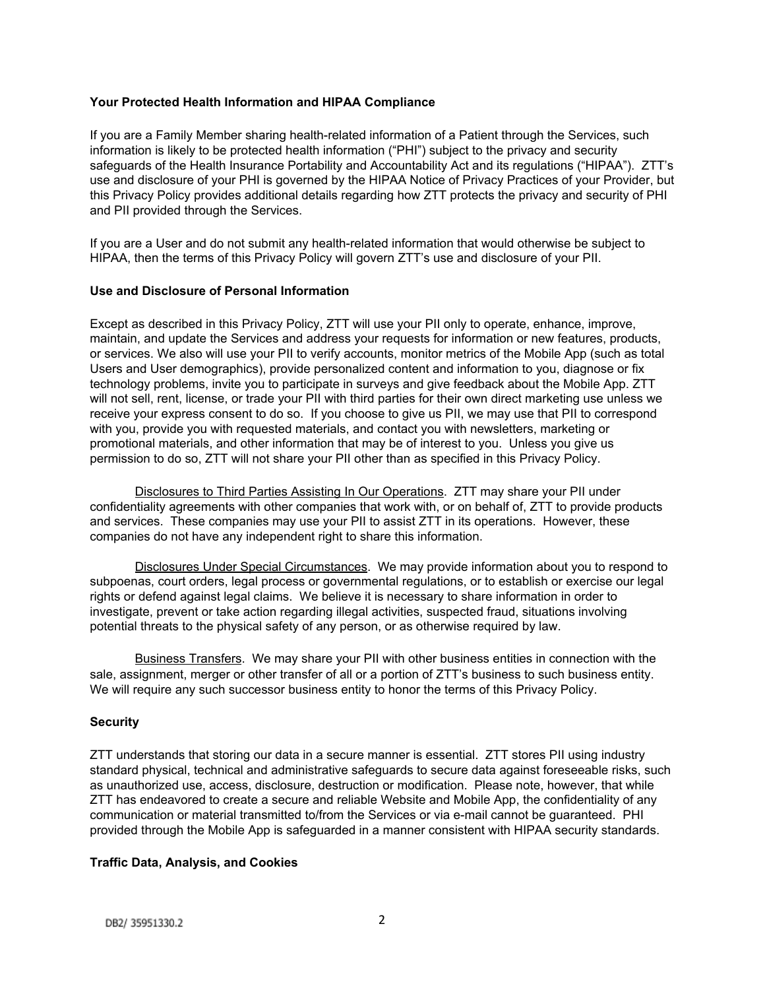#### **Your Protected Health Information and HIPAA Compliance**

If you are a Family Member sharing health-related information of a Patient through the Services, such information is likely to be protected health information ("PHI") subject to the privacy and security safeguards of the Health Insurance Portability and Accountability Act and its regulations ("HIPAA"). ZTT's use and disclosure of your PHI is governed by the HIPAA Notice of Privacy Practices of your Provider, but this Privacy Policy provides additional details regarding how ZTT protects the privacy and security of PHI and PII provided through the Services.

If you are a User and do not submit any health-related information that would otherwise be subject to HIPAA, then the terms of this Privacy Policy will govern ZTT's use and disclosure of your PII.

## **Use and Disclosure of Personal Information**

Except as described in this Privacy Policy, ZTT will use your PII only to operate, enhance, improve, maintain, and update the Services and address your requests for information or new features, products, or services. We also will use your PII to verify accounts, monitor metrics of the Mobile App (such as total Users and User demographics), provide personalized content and information to you, diagnose or fix technology problems, invite you to participate in surveys and give feedback about the Mobile App. ZTT will not sell, rent, license, or trade your PII with third parties for their own direct marketing use unless we receive your express consent to do so. If you choose to give us PII, we may use that PII to correspond with you, provide you with requested materials, and contact you with newsletters, marketing or promotional materials, and other information that may be of interest to you. Unless you give us permission to do so, ZTT will not share your PII other than as specified in this Privacy Policy.

Disclosures to Third Parties Assisting In Our Operations. ZTT may share your PII under confidentiality agreements with other companies that work with, or on behalf of, ZTT to provide products and services. These companies may use your PII to assist ZTT in its operations. However, these companies do not have any independent right to share this information.

Disclosures Under Special Circumstances. We may provide information about you to respond to subpoenas, court orders, legal process or governmental regulations, or to establish or exercise our legal rights or defend against legal claims. We believe it is necessary to share information in order to investigate, prevent or take action regarding illegal activities, suspected fraud, situations involving potential threats to the physical safety of any person, or as otherwise required by law.

Business Transfers. We may share your PII with other business entities in connection with the sale, assignment, merger or other transfer of all or a portion of ZTT's business to such business entity. We will require any such successor business entity to honor the terms of this Privacy Policy.

# **Security**

ZTT understands that storing our data in a secure manner is essential. ZTT stores PII using industry standard physical, technical and administrative safeguards to secure data against foreseeable risks, such as unauthorized use, access, disclosure, destruction or modification. Please note, however, that while ZTT has endeavored to create a secure and reliable Website and Mobile App, the confidentiality of any communication or material transmitted to/from the Services or via e-mail cannot be guaranteed. PHI provided through the Mobile App is safeguarded in a manner consistent with HIPAA security standards.

# **Traffic Data, Analysis, and Cookies**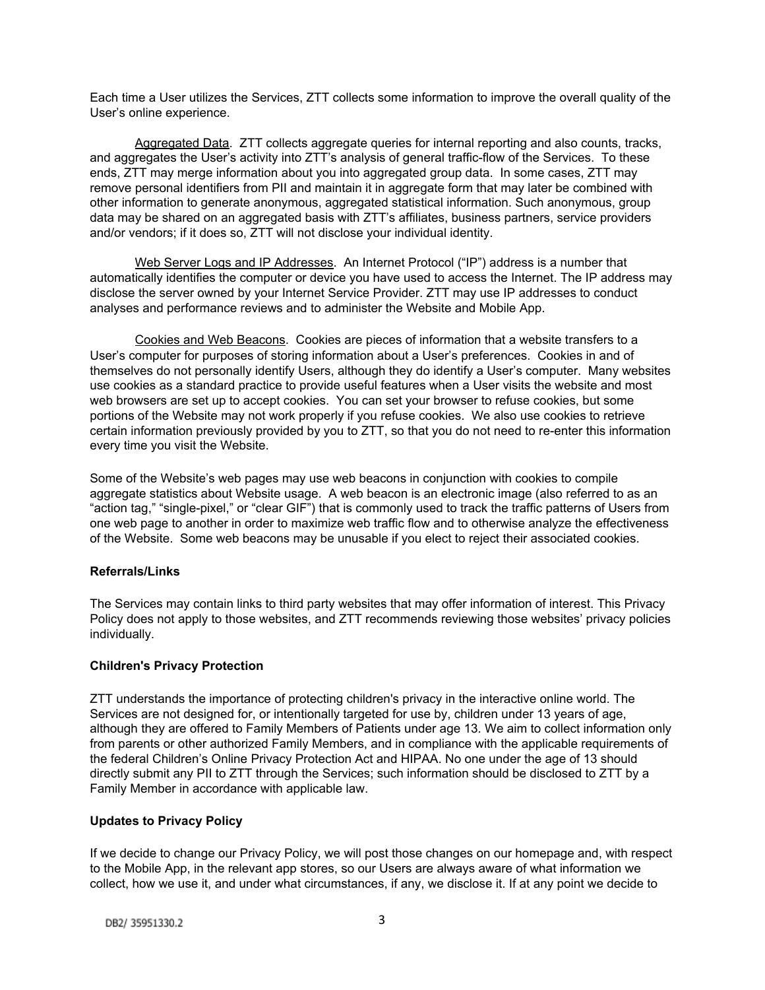Each time a User utilizes the Services, ZTT collects some information to improve the overall quality of the User's online experience.

Aggregated Data. ZTT collects aggregate queries for internal reporting and also counts, tracks, and aggregates the User's activity into ZTT's analysis of general traffic-flow of the Services. To these ends, ZTT may merge information about you into aggregated group data. In some cases, ZTT may remove personal identifiers from PII and maintain it in aggregate form that may later be combined with other information to generate anonymous, aggregated statistical information. Such anonymous, group data may be shared on an aggregated basis with ZTT's affiliates, business partners, service providers and/or vendors; if it does so, ZTT will not disclose your individual identity.

Web Server Logs and IP Addresses. An Internet Protocol ("IP") address is a number that automatically identifies the computer or device you have used to access the Internet. The IP address may disclose the server owned by your Internet Service Provider. ZTT may use IP addresses to conduct analyses and performance reviews and to administer the Website and Mobile App.

Cookies and Web Beacons. Cookies are pieces of information that a website transfers to a User's computer for purposes of storing information about a User's preferences. Cookies in and of themselves do not personally identify Users, although they do identify a User's computer. Many websites use cookies as a standard practice to provide useful features when a User visits the website and most web browsers are set up to accept cookies. You can set your browser to refuse cookies, but some portions of the Website may not work properly if you refuse cookies. We also use cookies to retrieve certain information previously provided by you to ZTT, so that you do not need to re-enter this information every time you visit the Website.

Some of the Website's web pages may use web beacons in conjunction with cookies to compile aggregate statistics about Website usage. A web beacon is an electronic image (also referred to as an "action tag," "single-pixel," or "clear GIF") that is commonly used to track the traffic patterns of Users from one web page to another in order to maximize web traffic flow and to otherwise analyze the effectiveness of the Website. Some web beacons may be unusable if you elect to reject their associated cookies.

# **Referrals/Links**

The Services may contain links to third party websites that may offer information of interest. This Privacy Policy does not apply to those websites, and ZTT recommends reviewing those websites' privacy policies individually.

#### **Children's Privacy Protection**

ZTT understands the importance of protecting children's privacy in the interactive online world. The Services are not designed for, or intentionally targeted for use by, children under 13 years of age, although they are offered to Family Members of Patients under age 13. We aim to collect information only from parents or other authorized Family Members, and in compliance with the applicable requirements of the federal Children's Online Privacy Protection Act and HIPAA. No one under the age of 13 should directly submit any PII to ZTT through the Services; such information should be disclosed to ZTT by a Family Member in accordance with applicable law.

# **Updates to Privacy Policy**

If we decide to change our Privacy Policy, we will post those changes on our homepage and, with respect to the Mobile App, in the relevant app stores, so our Users are always aware of what information we collect, how we use it, and under what circumstances, if any, we disclose it. If at any point we decide to